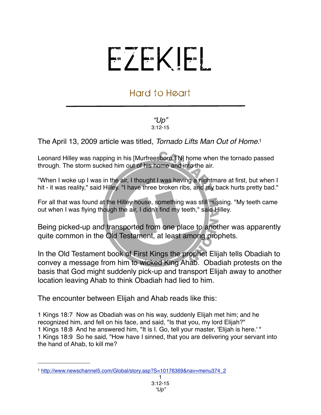## EZEKIEL

## Hard to Heart

## *"Up"* 3:12-15

The April 13, 2009 article was titled, *Tornado Lifts Man Out of Home*. [1](#page-0-0) 

Leonard Hilley was napping in his [Murfreesboro TN] home when the tornado passed through. The storm sucked him out of his home and into the air.

"When I woke up I was in the air, I thought I was having a nightmare at first, but when I hit - it was reality," said Hilley. "I have three broken ribs, and my back hurts pretty bad."

For all that was found at the Hilley house, something was still missing. "My teeth came out when I was flying though the air, I didn't find my teeth," said Hilley.

Being picked-up and transported from one place to another was apparently quite common in the Old Testament, at least among prophets.

In the Old Testament book of First Kings the prophet Elijah tells Obadiah to convey a message from him to wicked King Ahab. Obadiah protests on the basis that God might suddenly pick-up and transport Elijah away to another location leaving Ahab to think Obadiah had lied to him.

The encounter between Elijah and Ahab reads like this:

1 Kings 18:7 Now as Obadiah was on his way, suddenly Elijah met him; and he recognized him, and fell on his face, and said, "Is that you, my lord Elijah?" 1 Kings 18:8 And he answered him, "It is I. Go, tell your master, 'Elijah is here.' " 1 Kings 18:9 So he said, "How have I sinned, that you are delivering your servant into the hand of Ahab, to kill me?

<span id="page-0-0"></span><sup>1</sup> [http://www.newschannel5.com/Global/story.asp?S=10176369&nav=menu374\\_2](http://www.newschannel5.com/Global/story.asp?S=10176369&nav=menu374_2)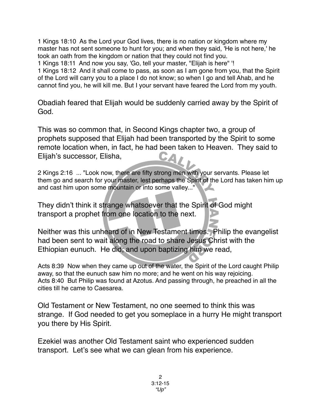1 Kings 18:10 As the Lord your God lives, there is no nation or kingdom where my master has not sent someone to hunt for you; and when they said, 'He is not here,' he took an oath from the kingdom or nation that they could not find you.

1 Kings 18:11 And now you say, 'Go, tell your master, "Elijah is here" '!

1 Kings 18:12 And it shall come to pass, as soon as I am gone from you, that the Spirit of the Lord will carry you to a place I do not know; so when I go and tell Ahab, and he cannot find you, he will kill me. But I your servant have feared the Lord from my youth.

Obadiah feared that Elijah would be suddenly carried away by the Spirit of God.

This was so common that, in Second Kings chapter two, a group of prophets supposed that Elijah had been transported by the Spirit to some remote location when, in fact, he had been taken to Heaven. They said to Elijah's successor, Elisha,

2 Kings 2:16 ... "Look now, there are fifty strong men with your servants. Please let them go and search for your master, lest perhaps the Spirit of the Lord has taken him up and cast him upon some mountain or into some valley..."

They didn't think it strange whatsoever that the Spirit of God might transport a prophet from one location to the next.

Neither was this unheard of in New Testament times. Philip the evangelist had been sent to wait along the road to share Jesus Christ with the Ethiopian eunuch. He did; and upon baptizing him we read,

Acts 8:39 Now when they came up out of the water, the Spirit of the Lord caught Philip away, so that the eunuch saw him no more; and he went on his way rejoicing. Acts 8:40 But Philip was found at Azotus. And passing through, he preached in all the cities till he came to Caesarea.

Old Testament or New Testament, no one seemed to think this was strange. If God needed to get you someplace in a hurry He might transport you there by His Spirit.

Ezekiel was another Old Testament saint who experienced sudden transport. Let's see what we can glean from his experience.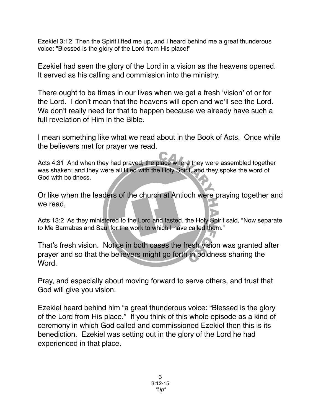Ezekiel 3:12 Then the Spirit lifted me up, and I heard behind me a great thunderous voice: "Blessed is the glory of the Lord from His place!"

Ezekiel had seen the glory of the Lord in a vision as the heavens opened. It served as his calling and commission into the ministry.

There ought to be times in our lives when we get a fresh ʻvision' of or for the Lord. I don't mean that the heavens will open and we'll see the Lord. We don't really need for that to happen because we already have such a full revelation of Him in the Bible.

I mean something like what we read about in the Book of Acts. Once while the believers met for prayer we read,

Acts 4:31 And when they had prayed, the place where they were assembled together was shaken; and they were all filled with the Holy Spirit, and they spoke the word of God with boldness.

Or like when the leaders of the church at Antioch were praying together and we read,

Acts 13:2 As they ministered to the Lord and fasted, the Holy Spirit said, "Now separate to Me Barnabas and Saul for the work to which I have called them."

That's fresh vision. Notice in both cases the fresh vision was granted after prayer and so that the believers might go forth in boldness sharing the **Word** 

Pray, and especially about moving forward to serve others, and trust that God will give you vision.

Ezekiel heard behind him "a great thunderous voice: "Blessed is the glory of the Lord from His place." If you think of this whole episode as a kind of ceremony in which God called and commissioned Ezekiel then this is its benediction. Ezekiel was setting out in the glory of the Lord he had experienced in that place.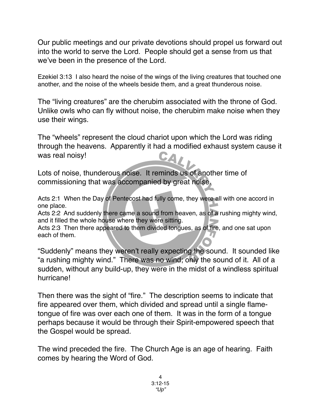Our public meetings and our private devotions should propel us forward out into the world to serve the Lord. People should get a sense from us that we've been in the presence of the Lord.

Ezekiel 3:13 I also heard the noise of the wings of the living creatures that touched one another, and the noise of the wheels beside them, and a great thunderous noise.

The "living creatures" are the cherubim associated with the throne of God. Unlike owls who can fly without noise, the cherubim make noise when they use their wings.

The "wheels" represent the cloud chariot upon which the Lord was riding through the heavens. Apparently it had a modified exhaust system cause it was real noisy!

Lots of noise, thunderous noise. It reminds us of another time of commissioning that was accompanied by great noise.

Acts 2:1 When the Day of Pentecost had fully come, they were all with one accord in one place.

Acts 2:2 And suddenly there came a sound from heaven, as of a rushing mighty wind, and it filled the whole house where they were sitting.

Acts 2:3 Then there appeared to them divided tongues, as of fire, and one sat upon each of them.

"Suddenly" means they weren't really expecting the sound. It sounded like "a rushing mighty wind." There was no wind; only the sound of it. All of a sudden, without any build-up, they were in the midst of a windless spiritual hurricane!

Then there was the sight of "fire." The description seems to indicate that fire appeared over them, which divided and spread until a single flametongue of fire was over each one of them. It was in the form of a tongue perhaps because it would be through their Spirit-empowered speech that the Gospel would be spread.

The wind preceded the fire. The Church Age is an age of hearing. Faith comes by hearing the Word of God.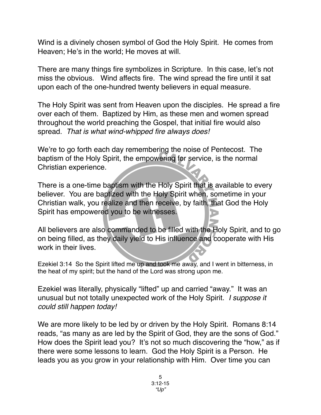Wind is a divinely chosen symbol of God the Holy Spirit. He comes from Heaven; He's in the world; He moves at will.

There are many things fire symbolizes in Scripture. In this case, let's not miss the obvious. Wind affects fire. The wind spread the fire until it sat upon each of the one-hundred twenty believers in equal measure.

The Holy Spirit was sent from Heaven upon the disciples. He spread a fire over each of them. Baptized by Him, as these men and women spread throughout the world preaching the Gospel, that initial fire would also spread. *That is what wind-whipped fire always does!*

We're to go forth each day remembering the noise of Pentecost. The baptism of the Holy Spirit, the empowering for service, is the normal Christian experience.

There is a one-time baptism with the Holy Spirit that is available to every believer. You are baptized with the Holy Spirit when, sometime in your Christian walk, you realize and then receive, by faith, that God the Holy Spirit has empowered you to be witnesses.

All believers are also commanded to be filled with the Holy Spirit, and to go on being filled, as they daily yield to His influence and cooperate with His work in their lives.

Ezekiel 3:14 So the Spirit lifted me up and took me away, and I went in bitterness, in the heat of my spirit; but the hand of the Lord was strong upon me.

Ezekiel was literally, physically "lifted" up and carried "away." It was an unusual but not totally unexpected work of the Holy Spirit. *I suppose it could still happen today!*

We are more likely to be led by or driven by the Holy Spirit. Romans 8:14 reads, "as many as are led by the Spirit of God, they are the sons of God." How does the Spirit lead you? It's not so much discovering the "how," as if there were some lessons to learn. God the Holy Spirit is a Person. He leads you as you grow in your relationship with Him. Over time you can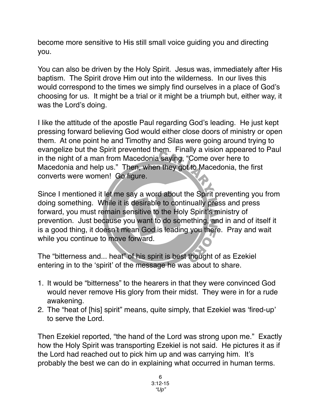become more sensitive to His still small voice guiding you and directing you.

You can also be driven by the Holy Spirit. Jesus was, immediately after His baptism. The Spirit drove Him out into the wilderness. In our lives this would correspond to the times we simply find ourselves in a place of God's choosing for us. It might be a trial or it might be a triumph but, either way, it was the Lord's doing.

I like the attitude of the apostle Paul regarding God's leading. He just kept pressing forward believing God would either close doors of ministry or open them. At one point he and Timothy and Silas were going around trying to evangelize but the Spirit prevented them. Finally a vision appeared to Paul in the night of a man from Macedonia saying, "Come over here to Macedonia and help us." Then, when they got to Macedonia, the first converts were women! Go figure.

Since I mentioned it let me say a word about the Spirit preventing you from doing something. While it is desirable to continually press and press forward, you must remain sensitive to the Holy Spirit's ministry of prevention. Just because you want to do something, and in and of itself it is a good thing, it doesn't mean God is leading you there. Pray and wait while you continue to move forward.

The "bitterness and... heat" of his spirit is best thought of as Ezekiel entering in to the ʻspirit' of the message he was about to share.

- 1. It would be "bitterness" to the hearers in that they were convinced God would never remove His glory from their midst. They were in for a rude awakening.
- 2. The "heat of [his] spirit" means, quite simply, that Ezekiel was ʻfired-up' to serve the Lord.

Then Ezekiel reported, "the hand of the Lord was strong upon me." Exactly how the Holy Spirit was transporting Ezekiel is not said. He pictures it as if the Lord had reached out to pick him up and was carrying him. It's probably the best we can do in explaining what occurred in human terms.